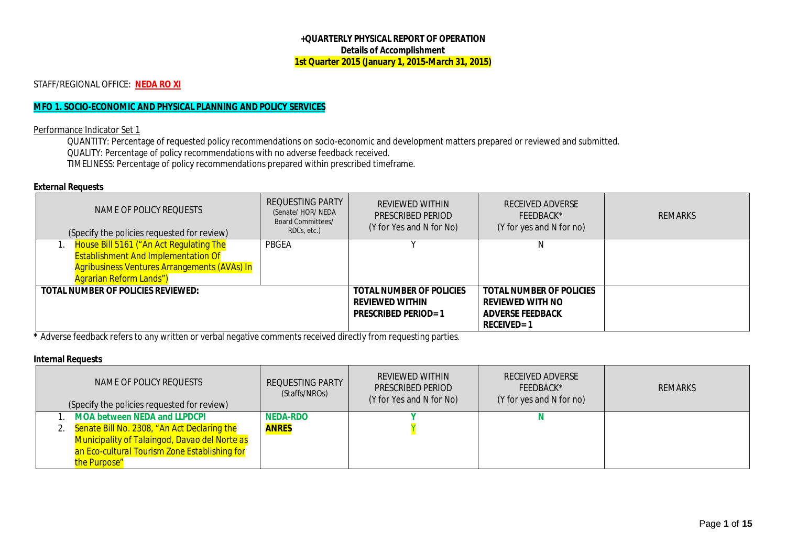#### **+QUARTERLY PHYSICAL REPORT OF OPERATION Details of Accomplishment 1st Quarter 2015 (January 1, 2015-March 31, 2015)**

### STAFF/REGIONAL OFFICE: **NEDA RO XI**

# **MFO 1. SOCIO-ECONOMIC AND PHYSICAL PLANNING AND POLICY SERVICES**

### Performance Indicator Set 1

QUANTITY: Percentage of requested policy recommendations on socio-economic and development matters prepared or reviewed and submitted. QUALITY: Percentage of policy recommendations with no adverse feedback received. TIMELINESS: Percentage of policy recommendations prepared within prescribed timeframe.

#### **External Requests**

| NAME OF POLICY REOUESTS<br>(Specify the policies requested for review) | REQUESTING PARTY<br>(Senate/ HOR/ NEDA<br>Board Committees/<br>RDCs, etc.) | REVIEWED WITHIN<br>PRESCRIBED PERIOD<br>(Y for Yes and N for No) | <b>RECEIVED ADVERSE</b><br>FFFDBACK*<br>(Y for yes and N for no) | REMARKS |
|------------------------------------------------------------------------|----------------------------------------------------------------------------|------------------------------------------------------------------|------------------------------------------------------------------|---------|
| House Bill 5161 ("An Act Regulating The                                | PBGEA                                                                      |                                                                  |                                                                  |         |
| <b>Establishment And Implementation Of</b>                             |                                                                            |                                                                  |                                                                  |         |
| <b>Agribusiness Ventures Arrangements (AVAs) In</b>                    |                                                                            |                                                                  |                                                                  |         |
| <b>Agrarian Reform Lands")</b>                                         |                                                                            |                                                                  |                                                                  |         |
| <b>TOTAL NUMBER OF POLICIES REVIEWED:</b>                              |                                                                            | <b>TOTAL NUMBER OF POLICIES</b>                                  | <b>TOTAL NUMBER OF POLICIES</b>                                  |         |
|                                                                        |                                                                            | <b>REVIEWED WITHIN</b>                                           | <b>REVIEWED WITH NO</b>                                          |         |
|                                                                        |                                                                            | <b>PRESCRIBED PERIOD=1</b>                                       | <b>ADVERSE FEEDBACK</b>                                          |         |
|                                                                        |                                                                            |                                                                  | <b>RECEIVED=1</b>                                                |         |

**\*** Adverse feedback refers to any written or verbal negative comments received directly from requesting parties.

#### **Internal Requests**

| NAME OF POLICY REQUESTS<br>(Specify the policies requested for review)                                                                                                                                  | REQUESTING PARTY<br>(Staffs/NROs) | <b>REVIEWED WITHIN</b><br>PRESCRIBED PERIOD<br>(Y for Yes and N for No) | RECEIVED ADVERSE<br>FEEDBACK*<br>(Y for yes and N for no) | <b>REMARKS</b> |
|---------------------------------------------------------------------------------------------------------------------------------------------------------------------------------------------------------|-----------------------------------|-------------------------------------------------------------------------|-----------------------------------------------------------|----------------|
| MOA between NEDA and LLPDCPI<br>2. Senate Bill No. 2308, "An Act Declaring the<br><b>Municipality of Talaingod, Davao del Norte as</b><br>an Eco-cultural Tourism Zone Establishing for<br>the Purpose" | <b>NEDA-RDO</b><br><b>ANRES</b>   |                                                                         |                                                           |                |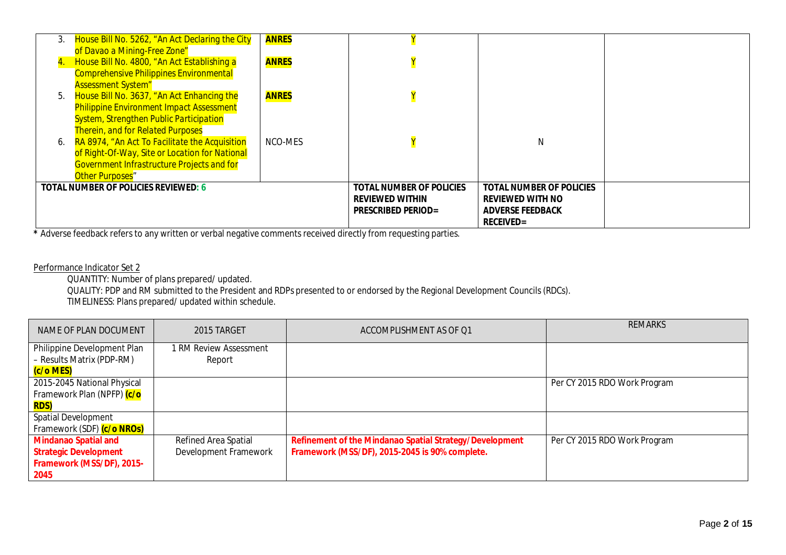| 3. | House Bill No. 5262, "An Act Declaring the City<br>of Davao a Mining-Free Zone"               | <b>ANRES</b> |                                 |                                 |  |
|----|-----------------------------------------------------------------------------------------------|--------------|---------------------------------|---------------------------------|--|
|    | House Bill No. 4800, "An Act Establishing a<br><b>Comprehensive Philippines Environmental</b> | <b>ANRES</b> |                                 |                                 |  |
|    | <b>Assessment System"</b>                                                                     |              |                                 |                                 |  |
| 5. | House Bill No. 3637, "An Act Enhancing the                                                    | <b>ANRES</b> |                                 |                                 |  |
|    | <b>Philippine Environment Impact Assessment</b>                                               |              |                                 |                                 |  |
|    | <b>System, Strengthen Public Participation</b>                                                |              |                                 |                                 |  |
|    | <b>Therein, and for Related Purposes</b>                                                      |              |                                 |                                 |  |
|    | RA 8974, "An Act To Facilitate the Acquisition                                                | NCO-MES      |                                 | N                               |  |
|    | of Right-Of-Way, Site or Location for National                                                |              |                                 |                                 |  |
|    | <b>Government Infrastructure Projects and for</b>                                             |              |                                 |                                 |  |
|    | <b>Other Purposes"</b>                                                                        |              |                                 |                                 |  |
|    | <b>TOTAL NUMBER OF POLICIES REVIEWED: 6</b>                                                   |              | <b>TOTAL NUMBER OF POLICIES</b> | <b>TOTAL NUMBER OF POLICIES</b> |  |
|    |                                                                                               |              | <b>REVIEWED WITHIN</b>          | <b>REVIEWED WITH NO</b>         |  |
|    |                                                                                               |              | <b>PRESCRIBED PERIOD=</b>       | <b>ADVERSE FEEDBACK</b>         |  |
|    |                                                                                               |              |                                 | <b>RECEIVED=</b>                |  |

**\*** Adverse feedback refers to any written or verbal negative comments received directly from requesting parties.

## Performance Indicator Set 2

QUANTITY: Number of plans prepared/ updated.

QUALITY: PDP and RM submitted to the President and RDPs presented to or endorsed by the Regional Development Councils (RDCs).

TIMELINESS: Plans prepared/ updated within schedule.

| NAME OF PLAN DOCUMENT        | 2015 TARGET            | ACCOMPLISHMENT AS OF Q1                                        | <b>REMARKS</b>               |
|------------------------------|------------------------|----------------------------------------------------------------|------------------------------|
| Philippine Development Plan  | 1 RM Review Assessment |                                                                |                              |
| - Results Matrix (PDP-RM)    | Report                 |                                                                |                              |
| (c/o MES)                    |                        |                                                                |                              |
| 2015-2045 National Physical  |                        |                                                                | Per CY 2015 RDO Work Program |
| Framework Plan (NPFP) (c/o   |                        |                                                                |                              |
| <b>RDS)</b>                  |                        |                                                                |                              |
| <b>Spatial Development</b>   |                        |                                                                |                              |
| Framework (SDF) (c/o NROs)   |                        |                                                                |                              |
| <b>Mindanao Spatial and</b>  | Refined Area Spatial   | <b>Refinement of the Mindanao Spatial Strategy/Development</b> | Per CY 2015 RDO Work Program |
| <b>Strategic Development</b> | Development Framework  | Framework (MSS/DF), 2015-2045 is 90% complete.                 |                              |
| Framework (MSS/DF), 2015-    |                        |                                                                |                              |
| 2045                         |                        |                                                                |                              |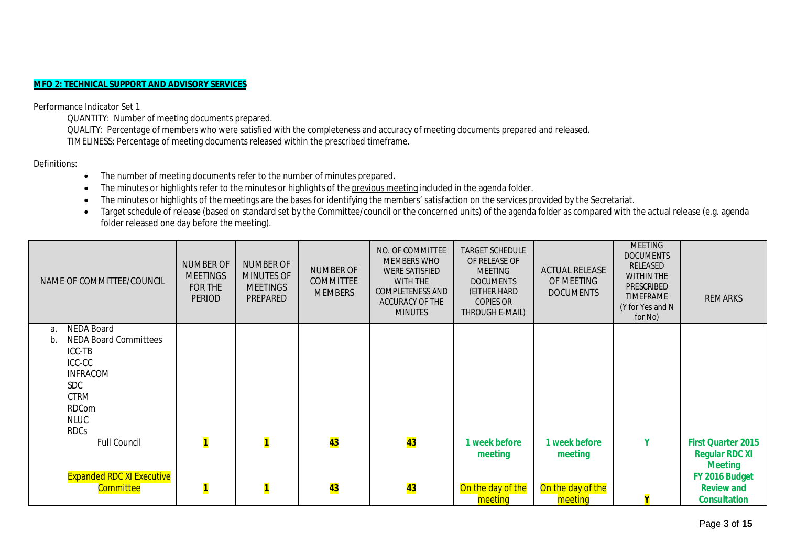### **MFO 2: TECHNICAL SUPPORT AND ADVISORY SERVICES**

#### Performance Indicator Set 1

QUANTITY: Number of meeting documents prepared.

QUALITY: Percentage of members who were satisfied with the completeness and accuracy of meeting documents prepared and released. TIMELINESS: Percentage of meeting documents released within the prescribed timeframe.

Definitions:

- The number of meeting documents refer to the number of minutes prepared.
- The minutes or highlights refer to the minutes or highlights of the previous meeting included in the agenda folder.
- The minutes or highlights of the meetings are the bases for identifying the members' satisfaction on the services provided by the Secretariat.
- Target schedule of release (based on standard set by the Committee/council or the concerned units) of the agenda folder as compared with the actual release (e.g. agenda folder released one day before the meeting).

| NAME OF COMMITTEE/COUNCIL                              | <b>NUMBER OF</b><br><b>MEETINGS</b><br>FOR THE<br><b>PERIOD</b> | <b>NUMBER OF</b><br><b>MINUTES OF</b><br><b>MEETINGS</b><br>PREPARED | <b>NUMBER OF</b><br><b>COMMITTEE</b><br><b>MEMBERS</b> | NO. OF COMMITTEE<br><b>MEMBERS WHO</b><br><b>WERE SATISFIED</b><br>WITH THE<br>COMPLETENESS AND<br>ACCURACY OF THE<br><b>MINUTES</b> | TARGET SCHEDULE<br>OF RELEASE OF<br><b>MEETING</b><br><b>DOCUMENTS</b><br>(EITHER HARD<br>COPIES OR<br>THROUGH E-MAIL) | <b>ACTUAL RELEASE</b><br>OF MEETING<br><b>DOCUMENTS</b> | <b>MEETING</b><br><b>DOCUMENTS</b><br>RELEASED<br><b>WITHIN THE</b><br><b>PRESCRIBED</b><br><b>TIMEFRAME</b><br>(Y for Yes and N<br>for No) | <b>REMARKS</b>                          |
|--------------------------------------------------------|-----------------------------------------------------------------|----------------------------------------------------------------------|--------------------------------------------------------|--------------------------------------------------------------------------------------------------------------------------------------|------------------------------------------------------------------------------------------------------------------------|---------------------------------------------------------|---------------------------------------------------------------------------------------------------------------------------------------------|-----------------------------------------|
| NEDA Board<br>а.<br><b>NEDA Board Committees</b><br>b. |                                                                 |                                                                      |                                                        |                                                                                                                                      |                                                                                                                        |                                                         |                                                                                                                                             |                                         |
| ICC-TB                                                 |                                                                 |                                                                      |                                                        |                                                                                                                                      |                                                                                                                        |                                                         |                                                                                                                                             |                                         |
| ICC-CC                                                 |                                                                 |                                                                      |                                                        |                                                                                                                                      |                                                                                                                        |                                                         |                                                                                                                                             |                                         |
| <b>INFRACOM</b>                                        |                                                                 |                                                                      |                                                        |                                                                                                                                      |                                                                                                                        |                                                         |                                                                                                                                             |                                         |
| SDC<br><b>CTRM</b>                                     |                                                                 |                                                                      |                                                        |                                                                                                                                      |                                                                                                                        |                                                         |                                                                                                                                             |                                         |
| <b>RDCom</b>                                           |                                                                 |                                                                      |                                                        |                                                                                                                                      |                                                                                                                        |                                                         |                                                                                                                                             |                                         |
| <b>NLUC</b>                                            |                                                                 |                                                                      |                                                        |                                                                                                                                      |                                                                                                                        |                                                         |                                                                                                                                             |                                         |
| <b>RDCs</b>                                            |                                                                 |                                                                      |                                                        |                                                                                                                                      |                                                                                                                        |                                                         |                                                                                                                                             |                                         |
| <b>Full Council</b>                                    | $\overline{\mathbf{1}}$                                         | $\overline{\mathbf{1}}$                                              | 43                                                     | 43                                                                                                                                   | 1 week before                                                                                                          | 1 week before                                           | Y                                                                                                                                           | <b>First Quarter 2015</b>               |
|                                                        |                                                                 |                                                                      |                                                        |                                                                                                                                      | meeting                                                                                                                | meeting                                                 |                                                                                                                                             | <b>Regular RDC XI</b><br><b>Meeting</b> |
| <b>Expanded RDC XI Executive</b>                       |                                                                 |                                                                      |                                                        |                                                                                                                                      |                                                                                                                        |                                                         |                                                                                                                                             | FY 2016 Budget                          |
| <b>Committee</b>                                       | $\overline{\mathbf{1}}$                                         | $\mathbf{1}$                                                         | 43                                                     | 43                                                                                                                                   | On the day of the                                                                                                      | On the day of the                                       |                                                                                                                                             | <b>Review and</b>                       |
|                                                        |                                                                 |                                                                      |                                                        |                                                                                                                                      | meeting                                                                                                                | meeting                                                 |                                                                                                                                             | <b>Consultation</b>                     |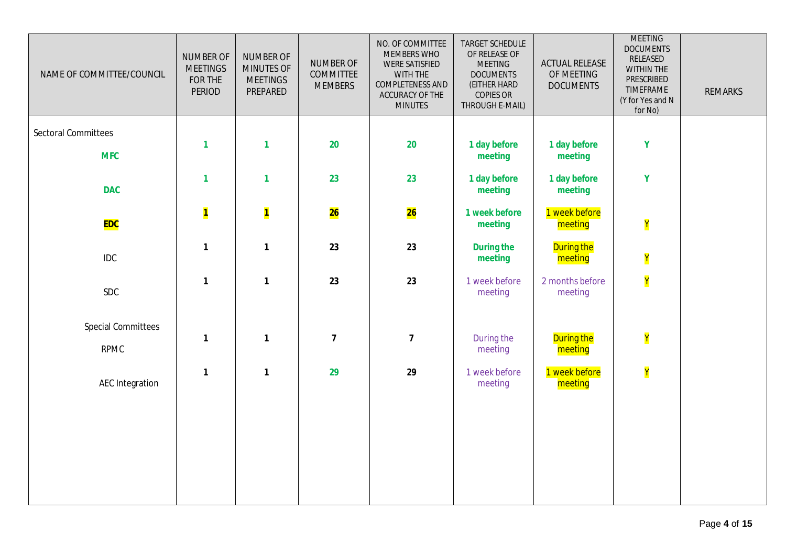| NAME OF COMMITTEE/COUNCIL                | <b>NUMBER OF</b><br><b>MEETINGS</b><br>FOR THE<br>PERIOD | <b>NUMBER OF</b><br>MINUTES OF<br><b>MEETINGS</b><br>PREPARED | <b>NUMBER OF</b><br><b>COMMITTEE</b><br><b>MEMBERS</b> | NO. OF COMMITTEE<br>MEMBERS WHO<br><b>WERE SATISFIED</b><br>WITH THE<br>COMPLETENESS AND<br>ACCURACY OF THE<br><b>MINUTES</b> | TARGET SCHEDULE<br>OF RELEASE OF<br><b>MEETING</b><br><b>DOCUMENTS</b><br>(EITHER HARD<br><b>COPIES OR</b><br>THROUGH E-MAIL) | <b>ACTUAL RELEASE</b><br>OF MEETING<br><b>DOCUMENTS</b> | <b>MEETING</b><br><b>DOCUMENTS</b><br>RELEASED<br>WITHIN THE<br>PRESCRIBED<br>TIMEFRAME<br>(Y for Yes and N<br>for No) | <b>REMARKS</b> |
|------------------------------------------|----------------------------------------------------------|---------------------------------------------------------------|--------------------------------------------------------|-------------------------------------------------------------------------------------------------------------------------------|-------------------------------------------------------------------------------------------------------------------------------|---------------------------------------------------------|------------------------------------------------------------------------------------------------------------------------|----------------|
| <b>Sectoral Committees</b>               | $\mathbf{1}$                                             | 1                                                             | 20                                                     | 20                                                                                                                            | 1 day before                                                                                                                  | 1 day before                                            | Y                                                                                                                      |                |
| <b>MFC</b><br><b>DAC</b>                 | $\mathbf{1}$                                             | $\mathbf{1}$                                                  | 23                                                     | 23                                                                                                                            | meeting<br>1 day before<br>meeting                                                                                            | meeting<br>1 day before<br>meeting                      | Y                                                                                                                      |                |
| <b>EDC</b>                               | $\overline{\mathbf{1}}$                                  | $\overline{\mathbf{1}}$                                       | 26                                                     | 26                                                                                                                            | 1 week before<br>meeting                                                                                                      | 1 week before<br>meeting                                | Y                                                                                                                      |                |
| <b>IDC</b>                               | $\mathbf{1}$                                             | 1                                                             | 23                                                     | 23                                                                                                                            | <b>During the</b><br>meeting                                                                                                  | <b>During the</b><br>meeting                            | Y                                                                                                                      |                |
| <b>SDC</b>                               | $\mathbf{1}$                                             | 1                                                             | 23                                                     | 23                                                                                                                            | 1 week before<br>meeting                                                                                                      | 2 months before<br>meeting                              | Y                                                                                                                      |                |
| <b>Special Committees</b><br><b>RPMC</b> | $\mathbf{1}$                                             | 1                                                             | $\overline{7}$                                         | $\overline{\mathbf{7}}$                                                                                                       | During the<br>meeting                                                                                                         | <b>During the</b><br>meeting                            | Y                                                                                                                      |                |
| <b>AEC Integration</b>                   | $\mathbf{1}$                                             | $\mathbf{1}$                                                  | 29                                                     | 29                                                                                                                            | 1 week before<br>meeting                                                                                                      | 1 week before<br>meeting                                | Y                                                                                                                      |                |
|                                          |                                                          |                                                               |                                                        |                                                                                                                               |                                                                                                                               |                                                         |                                                                                                                        |                |
|                                          |                                                          |                                                               |                                                        |                                                                                                                               |                                                                                                                               |                                                         |                                                                                                                        |                |
|                                          |                                                          |                                                               |                                                        |                                                                                                                               |                                                                                                                               |                                                         |                                                                                                                        |                |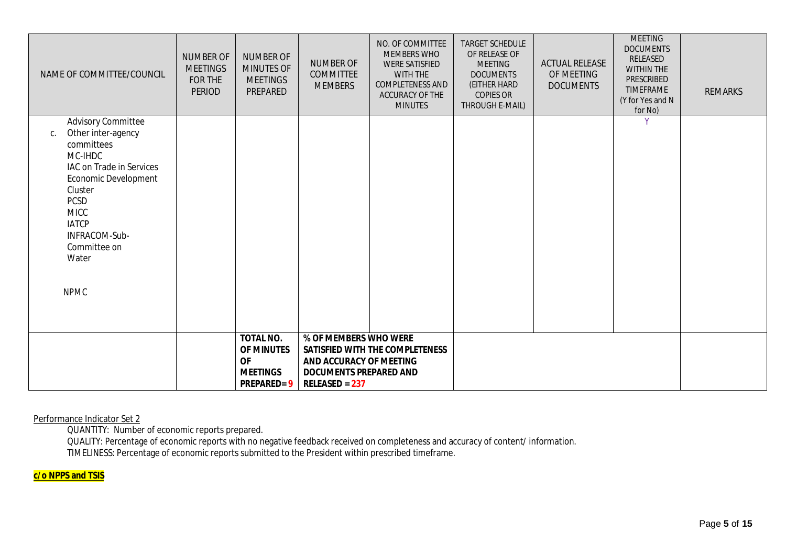| NAME OF COMMITTEE/COUNCIL                                                                                                                                                                                                                            | <b>NUMBER OF</b><br><b>MEETINGS</b><br>FOR THE<br><b>PERIOD</b> | <b>NUMBER OF</b><br><b>MINUTES OF</b><br><b>MEETINGS</b><br>PREPARED                | <b>NUMBER OF</b><br><b>COMMITTEE</b><br><b>MEMBERS</b>                                                     | NO. OF COMMITTEE<br>MEMBERS WHO<br><b>WERE SATISFIED</b><br>WITH THE<br>COMPLETENESS AND<br>ACCURACY OF THE<br><b>MINUTES</b> | <b>TARGET SCHEDULE</b><br>OF RELEASE OF<br><b>MEETING</b><br><b>DOCUMENTS</b><br>(EITHER HARD<br><b>COPIES OR</b><br>THROUGH E-MAIL) | <b>ACTUAL RELEASE</b><br>OF MEETING<br><b>DOCUMENTS</b> | <b>MEETING</b><br><b>DOCUMENTS</b><br>RELEASED<br><b>WITHIN THE</b><br>PRESCRIBED<br><b>TIMEFRAME</b><br>(Y for Yes and N<br>for No) | <b>REMARKS</b> |
|------------------------------------------------------------------------------------------------------------------------------------------------------------------------------------------------------------------------------------------------------|-----------------------------------------------------------------|-------------------------------------------------------------------------------------|------------------------------------------------------------------------------------------------------------|-------------------------------------------------------------------------------------------------------------------------------|--------------------------------------------------------------------------------------------------------------------------------------|---------------------------------------------------------|--------------------------------------------------------------------------------------------------------------------------------------|----------------|
| <b>Advisory Committee</b><br>Other inter-agency<br>C.<br>committees<br>MC-IHDC<br>IAC on Trade in Services<br>Economic Development<br>Cluster<br><b>PCSD</b><br><b>MICC</b><br><b>IATCP</b><br>INFRACOM-Sub-<br>Committee on<br>Water<br><b>NPMC</b> |                                                                 |                                                                                     |                                                                                                            |                                                                                                                               |                                                                                                                                      |                                                         |                                                                                                                                      |                |
|                                                                                                                                                                                                                                                      |                                                                 | TOTAL NO.<br><b>OF MINUTES</b><br><b>OF</b><br><b>MEETINGS</b><br><b>PREPARED=9</b> | % OF MEMBERS WHO WERE<br>AND ACCURACY OF MEETING<br><b>DOCUMENTS PREPARED AND</b><br><b>RELEASED = 237</b> | SATISFIED WITH THE COMPLETENESS                                                                                               |                                                                                                                                      |                                                         |                                                                                                                                      |                |

Performance Indicator Set 2

QUANTITY: Number of economic reports prepared.

QUALITY: Percentage of economic reports with no negative feedback received on completeness and accuracy of content/ information. TIMELINESS: Percentage of economic reports submitted to the President within prescribed timeframe.

## **c/o NPPS and TSIS**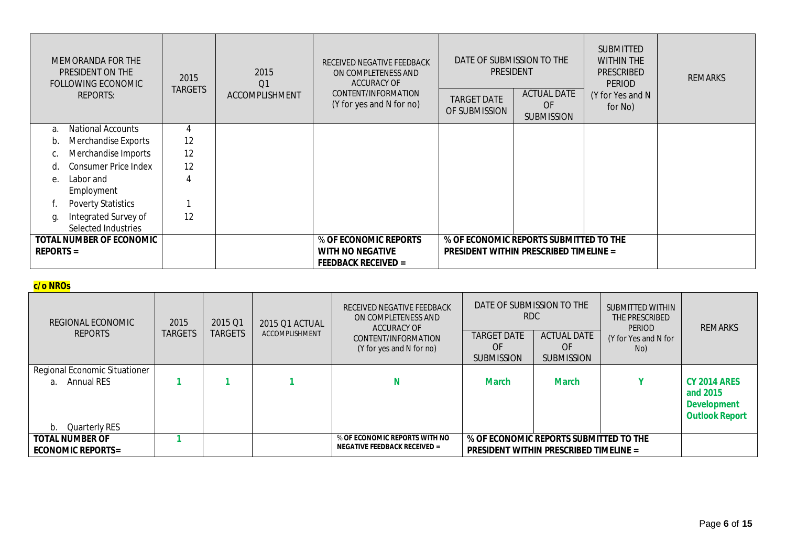| MEMORANDA FOR THE<br>PRESIDENT ON THE<br>FOLLOWING ECONOMIC |                                             | 2015<br><b>TARGETS</b> | 2015<br>Q1     | RECEIVED NEGATIVE FEEDBACK<br>ON COMPLETENESS AND<br><b>ACCURACY OF</b> | DATE OF SUBMISSION TO THE<br><b>PRESIDENT</b> |                                                      | <b>SUBMITTED</b><br><b>WITHIN THE</b><br><b>PRESCRIBED</b><br><b>PERIOD</b> | <b>REMARKS</b> |
|-------------------------------------------------------------|---------------------------------------------|------------------------|----------------|-------------------------------------------------------------------------|-----------------------------------------------|------------------------------------------------------|-----------------------------------------------------------------------------|----------------|
|                                                             | <b>REPORTS:</b>                             |                        | ACCOMPLISHMENT | CONTENT/INFORMATION<br>(Y for yes and N for no)                         | <b>TARGET DATE</b><br>OF SUBMISSION           | <b>ACTUAL DATE</b><br><b>OF</b><br><b>SUBMISSION</b> | (Y for Yes and N<br>for No)                                                 |                |
| a.                                                          | <b>National Accounts</b>                    | 4                      |                |                                                                         |                                               |                                                      |                                                                             |                |
| b.                                                          | Merchandise Exports                         | 12                     |                |                                                                         |                                               |                                                      |                                                                             |                |
| C.                                                          | Merchandise Imports                         | 12                     |                |                                                                         |                                               |                                                      |                                                                             |                |
| d.                                                          | <b>Consumer Price Index</b>                 | 12                     |                |                                                                         |                                               |                                                      |                                                                             |                |
| e.                                                          | Labor and<br>Employment                     | 4                      |                |                                                                         |                                               |                                                      |                                                                             |                |
|                                                             | <b>Poverty Statistics</b>                   |                        |                |                                                                         |                                               |                                                      |                                                                             |                |
| g.                                                          | Integrated Survey of<br>Selected Industries | 12                     |                |                                                                         |                                               |                                                      |                                                                             |                |
| TOTAL NUMBER OF ECONOMIC                                    |                                             |                        |                | % OF ECONOMIC REPORTS                                                   | % OF ECONOMIC REPORTS SUBMITTED TO THE        |                                                      |                                                                             |                |
| <b>REPORTS =</b>                                            |                                             |                        |                | <b>WITH NO NEGATIVE</b>                                                 | <b>PRESIDENT WITHIN PRESCRIBED TIMELINE =</b> |                                                      |                                                                             |                |
|                                                             |                                             |                        |                | <b>FEEDBACK RECEIVED =</b>                                              |                                               |                                                      |                                                                             |                |

# **c/o NROs**

| REGIONAL ECONOMIC<br><b>REPORTS</b>                                     | 2015<br><b>TARGETS</b> | 2015 Q1<br><b>TARGETS</b> | 2015 Q1 ACTUAL<br>ACCOMPLISHMENT | RECEIVED NEGATIVE FEEDBACK<br>ON COMPLETENESS AND<br><b>ACCURACY OF</b><br>CONTENT/INFORMATION<br>(Y for yes and N for no) | DATE OF SUBMISSION TO THE<br><b>RDC</b><br><b>TARGET DATE</b><br>OF<br><b>SUBMISSION</b> | <b>ACTUAL DATE</b><br>OF<br><b>SUBMISSION</b> | SUBMITTED WITHIN<br>THE PRESCRIBED<br><b>PERIOD</b><br>(Y for Yes and N for<br>No) | <b>REMARKS</b>                                                                 |
|-------------------------------------------------------------------------|------------------------|---------------------------|----------------------------------|----------------------------------------------------------------------------------------------------------------------------|------------------------------------------------------------------------------------------|-----------------------------------------------|------------------------------------------------------------------------------------|--------------------------------------------------------------------------------|
| Regional Economic Situationer<br>Annual RES<br>a<br>Quarterly RES<br>b. |                        |                           |                                  | N                                                                                                                          | <b>March</b>                                                                             | <b>March</b>                                  |                                                                                    | <b>CY 2014 ARES</b><br>and 2015<br><b>Development</b><br><b>Outlook Report</b> |
| <b>TOTAL NUMBER OF</b><br><b>ECONOMIC REPORTS=</b>                      |                        |                           |                                  | % OF ECONOMIC REPORTS WITH NO<br><b>NEGATIVE FEEDBACK RECEIVED =</b>                                                       | % OF ECONOMIC REPORTS SUBMITTED TO THE<br><b>PRESIDENT WITHIN PRESCRIBED TIMELINE =</b>  |                                               |                                                                                    |                                                                                |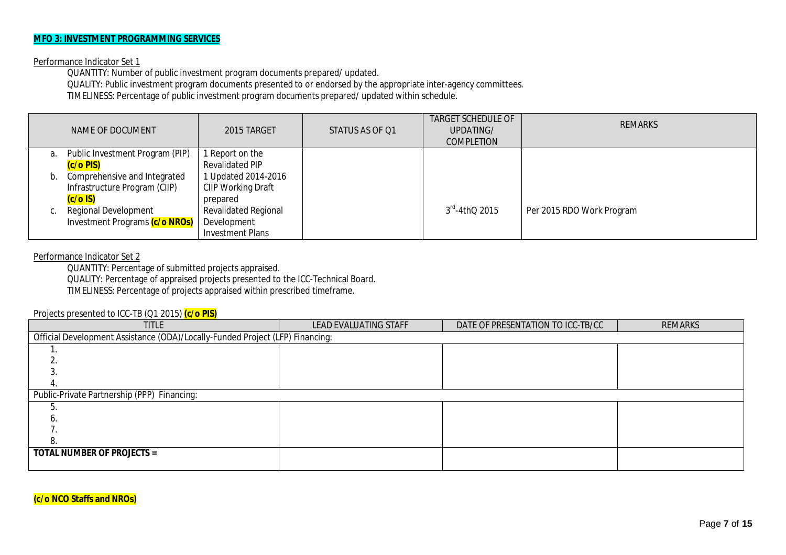### **MFO 3: INVESTMENT PROGRAMMING SERVICES**

#### Performance Indicator Set 1

QUANTITY: Number of public investment program documents prepared/ updated.

QUALITY: Public investment program documents presented to or endorsed by the appropriate inter-agency committees.

TIMELINESS: Percentage of public investment program documents prepared/ updated within schedule.

|    | NAME OF DOCUMENT                | 2015 TARGET                 | STATUS AS OF Q1 | <b>TARGET SCHEDULE OF</b><br>UPDATING/<br><b>COMPLETION</b> | <b>REMARKS</b>            |
|----|---------------------------------|-----------------------------|-----------------|-------------------------------------------------------------|---------------------------|
| a. | Public Investment Program (PIP) | 1 Report on the             |                 |                                                             |                           |
|    | (c/o PIS)                       | <b>Revalidated PIP</b>      |                 |                                                             |                           |
|    | Comprehensive and Integrated    | Updated 2014-2016           |                 |                                                             |                           |
|    | Infrastructure Program (CIIP)   | CIIP Working Draft          |                 |                                                             |                           |
|    | $(c/o$ IS)                      | prepared                    |                 |                                                             |                           |
| C. | <b>Regional Development</b>     | <b>Revalidated Regional</b> |                 | $3rd - 4thQ 2015$                                           | Per 2015 RDO Work Program |
|    | Investment Programs (c/o NROs)  | Development                 |                 |                                                             |                           |
|    |                                 | <b>Investment Plans</b>     |                 |                                                             |                           |

### Performance Indicator Set 2

QUANTITY: Percentage of submitted projects appraised.

QUALITY: Percentage of appraised projects presented to the ICC-Technical Board.

TIMELINESS: Percentage of projects appraised within prescribed timeframe.

#### Projects presented to ICC-TB (Q1 2015) **(c/o PIS)**

| $\sim$<br><b>TITLE</b>                                                        | LEAD EVALUATING STAFF | DATE OF PRESENTATION TO ICC-TB/CC | <b>REMARKS</b> |  |  |  |  |  |  |
|-------------------------------------------------------------------------------|-----------------------|-----------------------------------|----------------|--|--|--|--|--|--|
| Official Development Assistance (ODA)/Locally-Funded Project (LFP) Financing: |                       |                                   |                |  |  |  |  |  |  |
|                                                                               |                       |                                   |                |  |  |  |  |  |  |
|                                                                               |                       |                                   |                |  |  |  |  |  |  |
|                                                                               |                       |                                   |                |  |  |  |  |  |  |
|                                                                               |                       |                                   |                |  |  |  |  |  |  |
| Public-Private Partnership (PPP) Financing:                                   |                       |                                   |                |  |  |  |  |  |  |
|                                                                               |                       |                                   |                |  |  |  |  |  |  |
|                                                                               |                       |                                   |                |  |  |  |  |  |  |
|                                                                               |                       |                                   |                |  |  |  |  |  |  |
| 8                                                                             |                       |                                   |                |  |  |  |  |  |  |
| <b>TOTAL NUMBER OF PROJECTS =</b>                                             |                       |                                   |                |  |  |  |  |  |  |
|                                                                               |                       |                                   |                |  |  |  |  |  |  |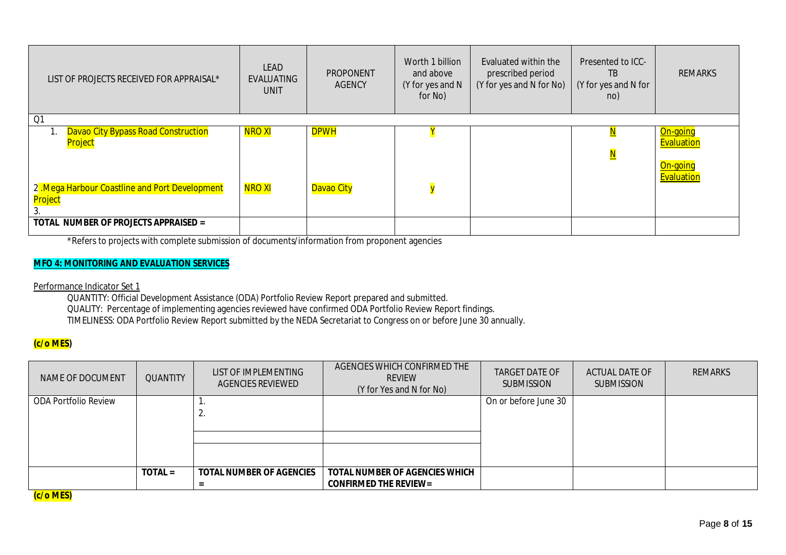| LIST OF PROJECTS RECEIVED FOR APPRAISAL*                                                         | <b>LEAD</b><br>EVALUATING<br><b>UNIT</b> | PROPONENT<br><b>AGENCY</b> | Worth 1 billion<br>and above<br>(Y for yes and N<br>for No) | Evaluated within the<br>prescribed period<br>(Y for yes and N for No) | Presented to ICC-<br>TB.<br>(Y for yes and N for<br>no) | <b>REMARKS</b>                                   |
|--------------------------------------------------------------------------------------------------|------------------------------------------|----------------------------|-------------------------------------------------------------|-----------------------------------------------------------------------|---------------------------------------------------------|--------------------------------------------------|
| Q1                                                                                               |                                          |                            |                                                             |                                                                       |                                                         |                                                  |
| Davao City Bypass Road Construction<br>Project<br>2. Mega Harbour Coastline and Port Development | <b>NRO XI</b><br><b>NRO XI</b>           | <b>DPWH</b><br>Davao City  |                                                             |                                                                       | $\mathbf{N}$<br>$\overline{\mathsf{N}}$                 | On-going<br>Evaluation<br>On-going<br>Evaluation |
| <mark>Project</mark><br>TOTAL NUMBER OF PROJECTS APPRAISED =                                     |                                          |                            |                                                             |                                                                       |                                                         |                                                  |

\*Refers to projects with complete submission of documents/information from proponent agencies

## **MFO 4: MONITORING AND EVALUATION SERVICES**

Performance Indicator Set 1

QUANTITY: Official Development Assistance (ODA) Portfolio Review Report prepared and submitted. QUALITY: Percentage of implementing agencies reviewed have confirmed ODA Portfolio Review Report findings. TIMELINESS: ODA Portfolio Review Report submitted by the NEDA Secretariat to Congress on or before June 30 annually.

## **(c/o MES)**

| NAME OF DOCUMENT            | <b>QUANTITY</b> | LIST OF IMPLEMENTING<br><b>AGENCIES REVIEWED</b> | AGENCIES WHICH CONFIRMED THE<br><b>REVIEW</b><br>(Y for Yes and N for No) | TARGET DATE OF<br><b>SUBMISSION</b> | <b>ACTUAL DATE OF</b><br><b>SUBMISSION</b> | <b>REMARKS</b> |
|-----------------------------|-----------------|--------------------------------------------------|---------------------------------------------------------------------------|-------------------------------------|--------------------------------------------|----------------|
| <b>ODA Portfolio Review</b> |                 | <u>.</u>                                         |                                                                           | On or before June 30                |                                            |                |
|                             | $TOTAL =$       | <b>TOTAL NUMBER OF AGENCIES</b>                  | <b>TOTAL NUMBER OF AGENCIES WHICH</b><br><b>CONFIRMED THE REVIEW=</b>     |                                     |                                            |                |

**(c/o MES)**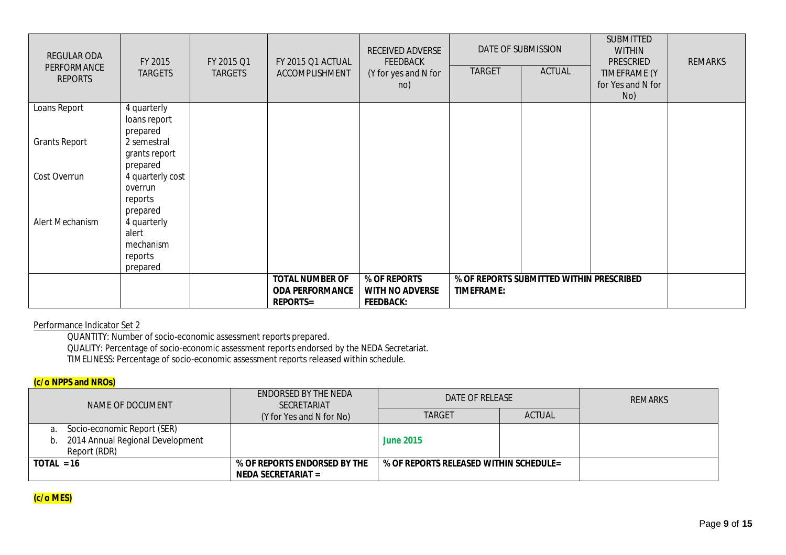| <b>REGULAR ODA</b><br>PERFORMANCE<br><b>REPORTS</b> | FY 2015<br><b>TARGETS</b>   | FY 2015 Q1<br><b>TARGETS</b> | FY 2015 Q1 ACTUAL<br>ACCOMPLISHMENT              | RECEIVED ADVERSE<br><b>FEEDBACK</b><br>(Y for yes and N for<br>no) | <b>TARGET</b>     | DATE OF SUBMISSION<br><b>ACTUAL</b>      | <b>SUBMITTED</b><br><b>WITHIN</b><br><b>PRESCRIED</b><br>TIMEFRAME (Y<br>for Yes and N for<br>No) | <b>REMARKS</b> |
|-----------------------------------------------------|-----------------------------|------------------------------|--------------------------------------------------|--------------------------------------------------------------------|-------------------|------------------------------------------|---------------------------------------------------------------------------------------------------|----------------|
| Loans Report                                        | 4 quarterly<br>loans report |                              |                                                  |                                                                    |                   |                                          |                                                                                                   |                |
|                                                     | prepared                    |                              |                                                  |                                                                    |                   |                                          |                                                                                                   |                |
| <b>Grants Report</b>                                | 2 semestral                 |                              |                                                  |                                                                    |                   |                                          |                                                                                                   |                |
|                                                     | grants report               |                              |                                                  |                                                                    |                   |                                          |                                                                                                   |                |
|                                                     | prepared                    |                              |                                                  |                                                                    |                   |                                          |                                                                                                   |                |
| Cost Overrun                                        | 4 quarterly cost            |                              |                                                  |                                                                    |                   |                                          |                                                                                                   |                |
|                                                     | overrun<br>reports          |                              |                                                  |                                                                    |                   |                                          |                                                                                                   |                |
|                                                     | prepared                    |                              |                                                  |                                                                    |                   |                                          |                                                                                                   |                |
| Alert Mechanism                                     | 4 quarterly                 |                              |                                                  |                                                                    |                   |                                          |                                                                                                   |                |
|                                                     | alert                       |                              |                                                  |                                                                    |                   |                                          |                                                                                                   |                |
|                                                     | mechanism                   |                              |                                                  |                                                                    |                   |                                          |                                                                                                   |                |
|                                                     | reports                     |                              |                                                  |                                                                    |                   |                                          |                                                                                                   |                |
|                                                     | prepared                    |                              |                                                  |                                                                    |                   |                                          |                                                                                                   |                |
|                                                     |                             |                              | <b>TOTAL NUMBER OF</b><br><b>ODA PERFORMANCE</b> | % OF REPORTS<br><b>WITH NO ADVERSE</b>                             | <b>TIMEFRAME:</b> | % OF REPORTS SUBMITTED WITHIN PRESCRIBED |                                                                                                   |                |
|                                                     |                             |                              | <b>REPORTS=</b>                                  | <b>FEEDBACK:</b>                                                   |                   |                                          |                                                                                                   |                |

## Performance Indicator Set 2

QUANTITY: Number of socio-economic assessment reports prepared.

QUALITY: Percentage of socio-economic assessment reports endorsed by the NEDA Secretariat.

TIMELINESS: Percentage of socio-economic assessment reports released within schedule.

## **(c/o NPPS and NROs)**

| NAME OF DOCUMENT                                                                      | ENDORSED BY THE NEDA<br><b>SECRETARIAT</b>         | DATE OF RELEASE                        |               | <b>REMARKS</b> |
|---------------------------------------------------------------------------------------|----------------------------------------------------|----------------------------------------|---------------|----------------|
|                                                                                       | (Y for Yes and N for No)                           | <b>TARGET</b>                          | <b>ACTUAL</b> |                |
| a. Socio-economic Report (SER)<br>b. 2014 Annual Regional Development<br>Report (RDR) |                                                    | <b>June 2015</b>                       |               |                |
| $TOIAL = 16$                                                                          | % OF REPORTS ENDORSED BY THE<br>NEDA SECRETARIAT = | % OF REPORTS RELEASED WITHIN SCHEDULE= |               |                |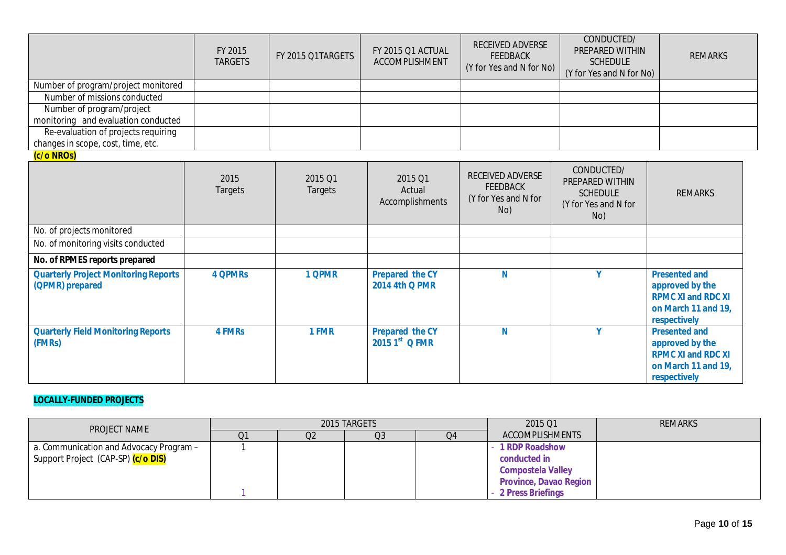|                                                                | FY 2015<br><b>TARGETS</b> | FY 2015 Q1TARGETS  | FY 2015 Q1 ACTUAL<br>ACCOMPLISHMENT             | RECEIVED ADVERSE<br><b>FEEDBACK</b><br>(Y for Yes and N for No)           | CONDUCTED/<br>PREPARED WITHIN<br><b>SCHEDULE</b><br>(Y for Yes and N for No)    | <b>REMARKS</b>                                                                                              |
|----------------------------------------------------------------|---------------------------|--------------------|-------------------------------------------------|---------------------------------------------------------------------------|---------------------------------------------------------------------------------|-------------------------------------------------------------------------------------------------------------|
| Number of program/project monitored                            |                           |                    |                                                 |                                                                           |                                                                                 |                                                                                                             |
| Number of missions conducted                                   |                           |                    |                                                 |                                                                           |                                                                                 |                                                                                                             |
| Number of program/project                                      |                           |                    |                                                 |                                                                           |                                                                                 |                                                                                                             |
| monitoring and evaluation conducted                            |                           |                    |                                                 |                                                                           |                                                                                 |                                                                                                             |
| Re-evaluation of projects requiring                            |                           |                    |                                                 |                                                                           |                                                                                 |                                                                                                             |
| changes in scope, cost, time, etc.                             |                           |                    |                                                 |                                                                           |                                                                                 |                                                                                                             |
| (c/o NROs)                                                     | 2015<br>Targets           | 2015 Q1<br>Targets | 2015 Q1<br>Actual<br>Accomplishments            | <b>RECEIVED ADVERSE</b><br><b>FEEDBACK</b><br>(Y for Yes and N for<br>No) | CONDUCTED/<br>PREPARED WITHIN<br><b>SCHEDULE</b><br>(Y for Yes and N for<br>No) | <b>REMARKS</b>                                                                                              |
| No. of projects monitored                                      |                           |                    |                                                 |                                                                           |                                                                                 |                                                                                                             |
| No. of monitoring visits conducted                             |                           |                    |                                                 |                                                                           |                                                                                 |                                                                                                             |
| No. of RPMES reports prepared                                  |                           |                    |                                                 |                                                                           |                                                                                 |                                                                                                             |
| <b>Quarterly Project Monitoring Reports</b><br>(QPMR) prepared | <b>4 QPMRs</b>            | 1 QPMR             | <b>Prepared the CY</b><br><b>2014 4th Q PMR</b> | N                                                                         | V                                                                               | <b>Presented and</b><br>approved by the<br><b>RPMC XI and RDC XI</b><br>on March 11 and 19,<br>respectively |
| <b>Quarterly Field Monitoring Reports</b><br>(FMRs)            | <b>4 FMRs</b>             | 1 FMR              | <b>Prepared the CY</b><br>2015 1st Q FMR        | N                                                                         | Y                                                                               | <b>Presented and</b><br>approved by the<br><b>RPMC XI and RDC XI</b><br>on March 11 and 19,<br>respectively |

## **LOCALLY-FUNDED PROJECTS**

| <b>PROJECT NAME</b>                             |    |                | 2015 TARGETS   |    | 2015 Q1                       | <b>REMARKS</b> |
|-------------------------------------------------|----|----------------|----------------|----|-------------------------------|----------------|
|                                                 | Q1 | Q <sub>2</sub> | Q <sub>3</sub> | Q4 | <b>ACCOMPLISHMENTS</b>        |                |
| a. Communication and Advocacy Program -         |    |                |                |    | <b>1 RDP Roadshow</b>         |                |
| Support Project (CAP-SP) <mark>(c/o DIS)</mark> |    |                |                |    | conducted in                  |                |
|                                                 |    |                |                |    | <b>Compostela Valley</b>      |                |
|                                                 |    |                |                |    | <b>Province, Davao Region</b> |                |
|                                                 |    |                |                |    | - 2 Press Briefings           |                |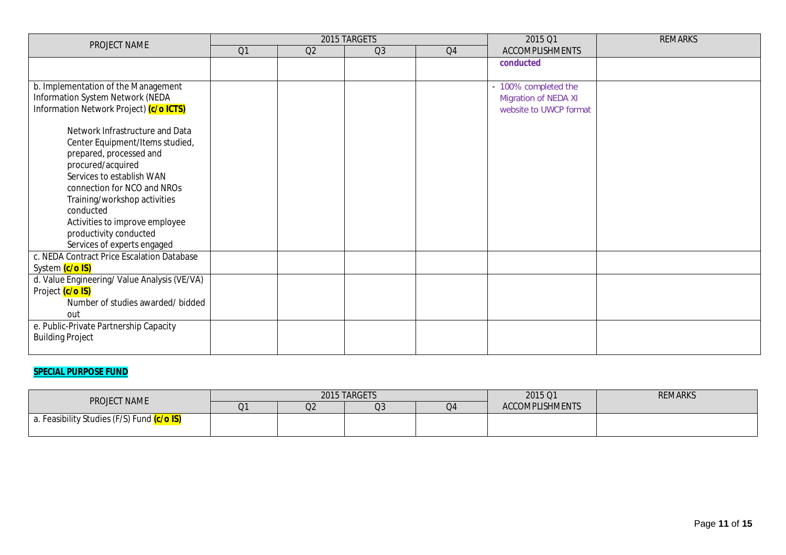| PROJECT NAME                                             |    |    | 2015 TARGETS   |    | 2015 Q1                     | <b>REMARKS</b> |
|----------------------------------------------------------|----|----|----------------|----|-----------------------------|----------------|
|                                                          | Q1 | Q2 | Q <sub>3</sub> | Q4 | <b>ACCOMPLISHMENTS</b>      |                |
|                                                          |    |    |                |    | conducted                   |                |
|                                                          |    |    |                |    |                             |                |
| b. Implementation of the Management                      |    |    |                |    | - 100% completed the        |                |
| Information System Network (NEDA                         |    |    |                |    | <b>Migration of NEDA XI</b> |                |
| Information Network Project) (c/o ICTS)                  |    |    |                |    | website to UWCP format      |                |
| Network Infrastructure and Data                          |    |    |                |    |                             |                |
|                                                          |    |    |                |    |                             |                |
| Center Equipment/Items studied,                          |    |    |                |    |                             |                |
| prepared, processed and                                  |    |    |                |    |                             |                |
| procured/acquired                                        |    |    |                |    |                             |                |
| Services to establish WAN<br>connection for NCO and NROs |    |    |                |    |                             |                |
| Training/workshop activities                             |    |    |                |    |                             |                |
| conducted                                                |    |    |                |    |                             |                |
|                                                          |    |    |                |    |                             |                |
| Activities to improve employee<br>productivity conducted |    |    |                |    |                             |                |
| Services of experts engaged                              |    |    |                |    |                             |                |
| c. NEDA Contract Price Escalation Database               |    |    |                |    |                             |                |
| System (c/o IS)                                          |    |    |                |    |                             |                |
| d. Value Engineering/ Value Analysis (VE/VA)             |    |    |                |    |                             |                |
| Project (c/o IS)                                         |    |    |                |    |                             |                |
| Number of studies awarded/ bidded                        |    |    |                |    |                             |                |
| out                                                      |    |    |                |    |                             |                |
| e. Public-Private Partnership Capacity                   |    |    |                |    |                             |                |
| <b>Building Project</b>                                  |    |    |                |    |                             |                |
|                                                          |    |    |                |    |                             |                |

# **SPECIAL PURPOSE FUND**

| <b>PROJECT NAME</b>                                            |    |          | 2015 TARGETS |    | 2015 Q1                | <b>REMARKS</b> |
|----------------------------------------------------------------|----|----------|--------------|----|------------------------|----------------|
|                                                                | Q1 | へへ<br>U∠ | Q3           | Q4 | <b>ACCOMPLISHMENTS</b> |                |
| Feasibility Studies (F/S) Fund <mark>(c/o IS)</mark><br>. а. ч |    |          |              |    |                        |                |
|                                                                |    |          |              |    |                        |                |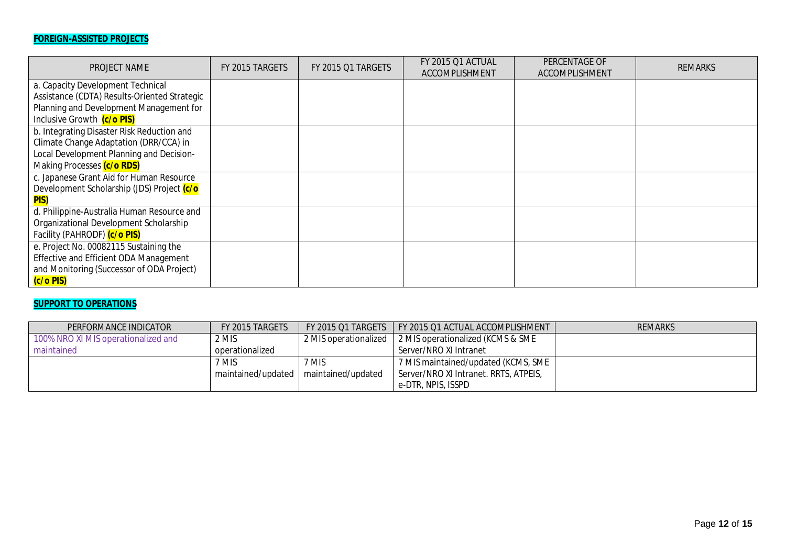# **FOREIGN-ASSISTED PROJECTS**

| PROJECT NAME                                 | FY 2015 TARGETS | FY 2015 Q1 TARGETS | FY 2015 Q1 ACTUAL<br>ACCOMPLISHMENT | PERCENTAGE OF<br>ACCOMPLISHMENT | <b>REMARKS</b> |
|----------------------------------------------|-----------------|--------------------|-------------------------------------|---------------------------------|----------------|
| a. Capacity Development Technical            |                 |                    |                                     |                                 |                |
| Assistance (CDTA) Results-Oriented Strategic |                 |                    |                                     |                                 |                |
| Planning and Development Management for      |                 |                    |                                     |                                 |                |
| Inclusive Growth (c/o PIS)                   |                 |                    |                                     |                                 |                |
| b. Integrating Disaster Risk Reduction and   |                 |                    |                                     |                                 |                |
| Climate Change Adaptation (DRR/CCA) in       |                 |                    |                                     |                                 |                |
| Local Development Planning and Decision-     |                 |                    |                                     |                                 |                |
| Making Processes (c/o RDS)                   |                 |                    |                                     |                                 |                |
| c. Japanese Grant Aid for Human Resource     |                 |                    |                                     |                                 |                |
| Development Scholarship (JDS) Project (c/o   |                 |                    |                                     |                                 |                |
| <b>PIS)</b>                                  |                 |                    |                                     |                                 |                |
| d. Philippine-Australia Human Resource and   |                 |                    |                                     |                                 |                |
| Organizational Development Scholarship       |                 |                    |                                     |                                 |                |
| Facility (PAHRODF) (c/o PIS)                 |                 |                    |                                     |                                 |                |
| e. Project No. 00082115 Sustaining the       |                 |                    |                                     |                                 |                |
| Effective and Efficient ODA Management       |                 |                    |                                     |                                 |                |
| and Monitoring (Successor of ODA Project)    |                 |                    |                                     |                                 |                |
| (c/o PIS)                                    |                 |                    |                                     |                                 |                |

## **SUPPORT TO OPERATIONS**

| PERFORMANCE INDICATOR               | FY 2015 TARGETS                         |       | FY 2015 Q1 TARGETS   FY 2015 Q1 ACTUAL ACCOMPLISHMENT     | <b>REMARKS</b> |
|-------------------------------------|-----------------------------------------|-------|-----------------------------------------------------------|----------------|
| 100% NRO XI MIS operationalized and | 2 MIS                                   |       | 2 MIS operationalized   2 MIS operationalized (KCMS & SME |                |
| maintained                          | operationalized                         |       | Server/NRO XI Intranet                                    |                |
|                                     | 7 MIS                                   | 7 MIS | 7 MIS maintained/updated (KCMS, SME                       |                |
|                                     | maintained/updated   maintained/updated |       | Server/NRO XI Intranet. RRTS, ATPEIS,                     |                |
|                                     |                                         |       | e-DTR, NPIS, ISSPD                                        |                |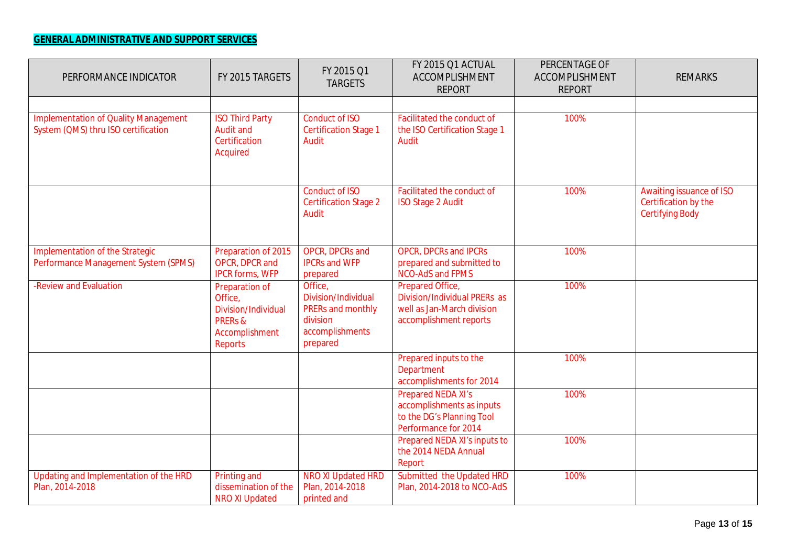# **GENERAL ADMINISTRATIVE AND SUPPORT SERVICES**

| PERFORMANCE INDICATOR                                                              | FY 2015 TARGETS                                                                                            | FY 2015 Q1<br><b>TARGETS</b>                                                                   | FY 2015 Q1 ACTUAL<br>ACCOMPLISHMENT<br><b>REPORT</b>                                                        | PERCENTAGE OF<br>ACCOMPLISHMENT<br><b>REPORT</b> | <b>REMARKS</b>                                                             |
|------------------------------------------------------------------------------------|------------------------------------------------------------------------------------------------------------|------------------------------------------------------------------------------------------------|-------------------------------------------------------------------------------------------------------------|--------------------------------------------------|----------------------------------------------------------------------------|
|                                                                                    |                                                                                                            |                                                                                                |                                                                                                             |                                                  |                                                                            |
| <b>Implementation of Quality Management</b><br>System (QMS) thru ISO certification | <b>ISO Third Party</b><br><b>Audit and</b><br>Certification<br>Acquired                                    | <b>Conduct of ISO</b><br><b>Certification Stage 1</b><br>Audit                                 | Facilitated the conduct of<br>the ISO Certification Stage 1<br>Audit                                        | 100%                                             |                                                                            |
|                                                                                    |                                                                                                            | <b>Conduct of ISO</b><br><b>Certification Stage 2</b><br>Audit                                 | Facilitated the conduct of<br><b>ISO Stage 2 Audit</b>                                                      | 100%                                             | Awaiting issuance of ISO<br>Certification by the<br><b>Certifying Body</b> |
| Implementation of the Strategic<br>Performance Management System (SPMS)            | Preparation of 2015<br>OPCR, DPCR and<br><b>IPCR forms, WFP</b>                                            | OPCR, DPCRs and<br><b>IPCRs and WFP</b><br>prepared                                            | <b>OPCR, DPCRs and IPCRs</b><br>prepared and submitted to<br><b>NCO-AdS and FPMS</b>                        | 100%                                             |                                                                            |
| -Review and Evaluation                                                             | Preparation of<br>Office,<br>Division/Individual<br><b>PRERS &amp;</b><br>Accomplishment<br><b>Reports</b> | Office,<br>Division/Individual<br>PRERs and monthly<br>division<br>accomplishments<br>prepared | Prepared Office,<br>Division/Individual PRERs as<br>well as Jan-March division<br>accomplishment reports    | 100%                                             |                                                                            |
|                                                                                    |                                                                                                            |                                                                                                | Prepared inputs to the<br>Department<br>accomplishments for 2014                                            | 100%                                             |                                                                            |
|                                                                                    |                                                                                                            |                                                                                                | <b>Prepared NEDA XI's</b><br>accomplishments as inputs<br>to the DG's Planning Tool<br>Performance for 2014 | 100%                                             |                                                                            |
|                                                                                    |                                                                                                            |                                                                                                | Prepared NEDA XI's inputs to<br>the 2014 NEDA Annual<br>Report                                              | 100%                                             |                                                                            |
| Updating and Implementation of the HRD<br>Plan, 2014-2018                          | Printing and<br>dissemination of the<br><b>NRO XI Updated</b>                                              | <b>NRO XI Updated HRD</b><br>Plan, 2014-2018<br>printed and                                    | Submitted the Updated HRD<br>Plan, 2014-2018 to NCO-AdS                                                     | 100%                                             |                                                                            |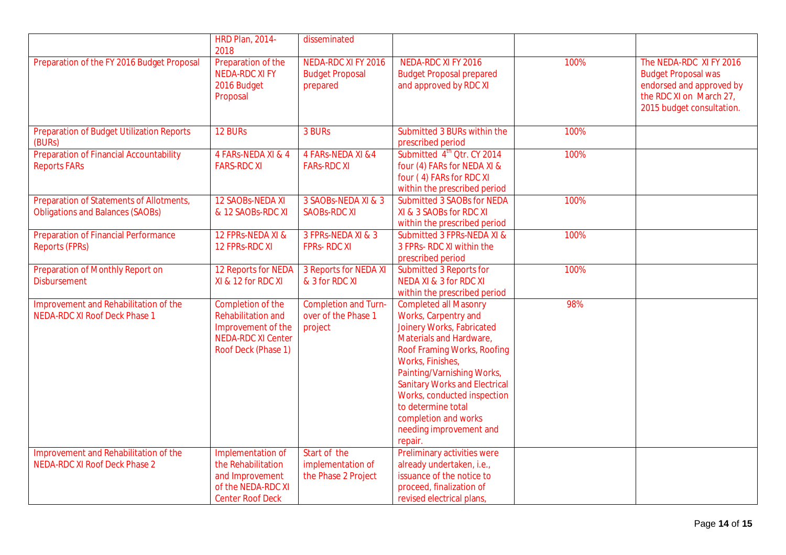|                                                                                     | <b>HRD Plan, 2014-</b><br>2018                                                                                           | disseminated                                                     |                                                                                                                                                                                                                                                                                                                                                          |      |                                                                                                                                           |
|-------------------------------------------------------------------------------------|--------------------------------------------------------------------------------------------------------------------------|------------------------------------------------------------------|----------------------------------------------------------------------------------------------------------------------------------------------------------------------------------------------------------------------------------------------------------------------------------------------------------------------------------------------------------|------|-------------------------------------------------------------------------------------------------------------------------------------------|
| Preparation of the FY 2016 Budget Proposal                                          | Preparation of the<br><b>NEDA-RDC XI FY</b><br>2016 Budget<br>Proposal                                                   | <b>NEDA-RDC XI FY 2016</b><br><b>Budget Proposal</b><br>prepared | <b>NEDA-RDC XI FY 2016</b><br><b>Budget Proposal prepared</b><br>and approved by RDC XI                                                                                                                                                                                                                                                                  | 100% | The NEDA-RDC XI FY 2016<br><b>Budget Proposal was</b><br>endorsed and approved by<br>the RDC XI on March 27,<br>2015 budget consultation. |
| <b>Preparation of Budget Utilization Reports</b><br>(BURs)                          | 12 BURs                                                                                                                  | 3 BURs                                                           | Submitted 3 BURs within the<br>prescribed period                                                                                                                                                                                                                                                                                                         | 100% |                                                                                                                                           |
| <b>Preparation of Financial Accountability</b><br><b>Reports FARs</b>               | 4 FARS-NEDA XI & 4<br><b>FARS-RDC XI</b>                                                                                 | 4 FARs-NEDA XI & 4<br><b>FARS-RDC XI</b>                         | Submitted 4 <sup>th</sup> Qtr. CY 2014<br>four (4) FARs for NEDA XI &<br>four (4) FARs for RDC XI<br>within the prescribed period                                                                                                                                                                                                                        | 100% |                                                                                                                                           |
| Preparation of Statements of Allotments,<br><b>Obligations and Balances (SAOBs)</b> | <b>12 SAOBS-NEDA XI</b><br>& 12 SAOBs-RDC XI                                                                             | 3 SAOBS-NEDA XI & 3<br><b>SAOBS-RDC XI</b>                       | <b>Submitted 3 SAOBs for NEDA</b><br>XI & 3 SAOBs for RDC XI<br>within the prescribed period                                                                                                                                                                                                                                                             | 100% |                                                                                                                                           |
| <b>Preparation of Financial Performance</b><br><b>Reports (FPRs)</b>                | 12 FPRs-NEDA XI &<br>12 FPRs-RDC XI                                                                                      | 3 FPRS-NEDA XI & 3<br><b>FPRS-RDCXI</b>                          | Submitted 3 FPRs-NEDA XI &<br>3 FPRs- RDC XI within the<br>prescribed period                                                                                                                                                                                                                                                                             | 100% |                                                                                                                                           |
| Preparation of Monthly Report on<br><b>Disbursement</b>                             | 12 Reports for NEDA<br>XI & 12 for RDC XI                                                                                | 3 Reports for NEDA XI<br>& 3 for RDC XI                          | <b>Submitted 3 Reports for</b><br>NEDA XI & 3 for RDC XI<br>within the prescribed period                                                                                                                                                                                                                                                                 | 100% |                                                                                                                                           |
| Improvement and Rehabilitation of the<br><b>NEDA-RDC XI Roof Deck Phase 1</b>       | Completion of the<br><b>Rehabilitation and</b><br>Improvement of the<br><b>NEDA-RDC XI Center</b><br>Roof Deck (Phase 1) | <b>Completion and Turn-</b><br>over of the Phase 1<br>project    | <b>Completed all Masonry</b><br>Works, Carpentry and<br>Joinery Works, Fabricated<br>Materials and Hardware,<br>Roof Framing Works, Roofing<br>Works, Finishes,<br>Painting/Varnishing Works,<br><b>Sanitary Works and Electrical</b><br>Works, conducted inspection<br>to determine total<br>completion and works<br>needing improvement and<br>repair. | 98%  |                                                                                                                                           |
| Improvement and Rehabilitation of the<br><b>NEDA-RDC XI Roof Deck Phase 2</b>       | Implementation of<br>the Rehabilitation<br>and Improvement<br>of the NEDA-RDC XI<br><b>Center Roof Deck</b>              | Start of the<br>implementation of<br>the Phase 2 Project         | Preliminary activities were<br>already undertaken, i.e.,<br>issuance of the notice to<br>proceed, finalization of<br>revised electrical plans,                                                                                                                                                                                                           |      |                                                                                                                                           |